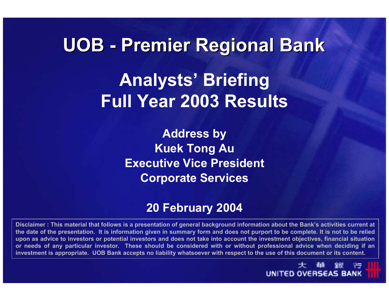# **UOB - Premier Regional Bank Premier Regional Bank Analysts' Briefing Full Year 2003 Results**

**Address by Kuek Tong Au Executive Vice PresidentCorporate Services**

#### **20 February 2004**

**Disclaimer : This material that follows is a presentation of general background information about the Bank's activities current at the date of the presentation. It is information given in summary form and does not purport to be complete. It is not to be relied upon as advice to investors or potential investors and does not take into account the investment objectives, financial situation or needs of any particular investor. These should be considered with or without professional advice when deciding if an investment is appropriate. UOB Bank accepts no liability whatsoever with respect to the use of this document or its content.**

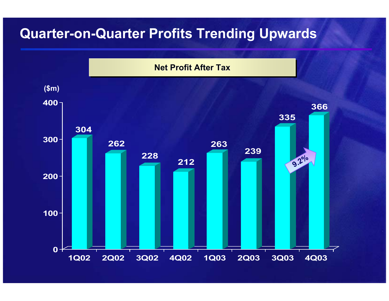# **Quarter-on-Quarter Profits Trending Upwards**

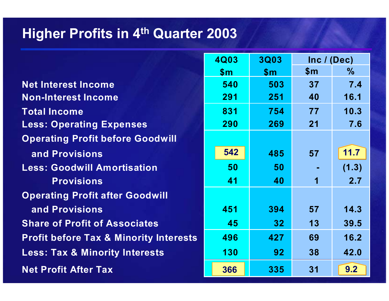#### **Higher Profits in 4th Quarter 2003**

**Net Interest Income Non-Interest Income Total Income Less: Operating Expenses Operating Profit before Goodwill and Provisions Less: Goodwill Amortisation Provisions Operating Profit after Goodwill and Provisions Share of Profit of Associates Profit before Tax & Minority Interests Less: Tax & Minority Interests Net Profit After Tax** 

| 4Q03 | <b>3Q03</b> | Inc / (Dec) |               |  |
|------|-------------|-------------|---------------|--|
| \$m  | \$m         | \$m         | $\frac{0}{0}$ |  |
| 540  | 503         | 37          | 7.4           |  |
| 291  | 251         | 40          | 16.1          |  |
| 831  | 754         | 77          | 10.3          |  |
| 290  | 269         | 21          | 7.6           |  |
|      |             |             |               |  |
| 542  | 485         | 57          | 11.7          |  |
| 50   | 50          |             | (1.3)         |  |
| 41   | 40          | 1           | 2.7           |  |
|      |             |             |               |  |
| 451  | 394         | 57          | 14.3          |  |
| 45   | 32          | 13          | 39.5          |  |
| 496  | 427         | 69          | 16.2          |  |
| 130  | 92          | 38          | 42.0          |  |
| 366  | 335         | 31          | 9.2           |  |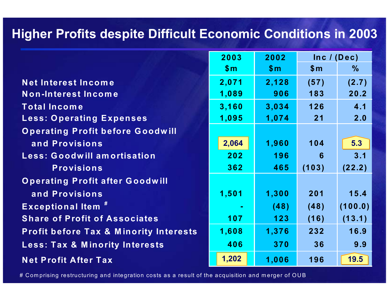## **Higher Profits despite Difficult Economic Conditions in 2003**

|                                                   | 2003<br>2002 |       | Inc / (Dec)    |               |
|---------------------------------------------------|--------------|-------|----------------|---------------|
|                                                   | \$m\$        | \$m\$ | $\mathsf{S}$ m | $\frac{0}{0}$ |
| Net Interest Income                               | 2,071        | 2,128 | (57)           | (2.7)         |
| Non-Interest Income                               | 1,089        | 906   | 183            | 20.2          |
| <b>Total Income</b>                               | 3,160        | 3,034 | 126            | 4.1           |
| <b>Less: Operating Expenses</b>                   | 1,095        | 1,074 | 21             | 2.0           |
| <b>Operating Profit before Goodwill</b>           |              |       |                |               |
| and Provisions                                    | 2,064        | 1,960 | 104            | 5.3           |
| <b>Less: Goodwill amortisation</b>                | 202          | 196   | 6              | 3.1           |
| <b>Provisions</b>                                 | 362          | 465   | (103)          | (22.2)        |
| <b>Operating Profit after Goodwill</b>            |              |       |                |               |
| and Provisions                                    | 1,501        | 1,300 | 201            | 15.4          |
| <b>Exceptional Item #</b>                         |              | (48)  | (48)           | (100.0)       |
| <b>Share of Profit of Associates</b>              | 107          | 123   | (16)           | (13.1)        |
| <b>Profit before Tax &amp; Minority Interests</b> | 1,608        | 1,376 | 232            | 16.9          |
| <b>Less: Tax &amp; Minority Interests</b>         | 406          | 370   | 36             | 9.9           |
| <b>Net Profit After Tax</b>                       | 1,202        | 1,006 | 196            | 19.5          |

# Com prisin g restructurin g and inte gration costs as a result of the ac quisition and mer ger of OUB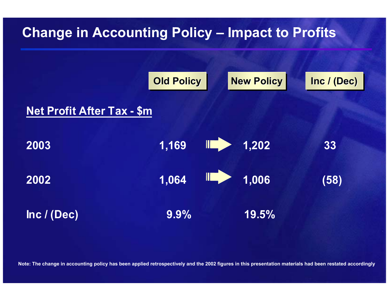# **Change in Accounting Policy – Impact to Profits**



**Note: The change in accounting policy has been applied retrospectively and the 2002 figures in this presentation materials had been restated accordingly**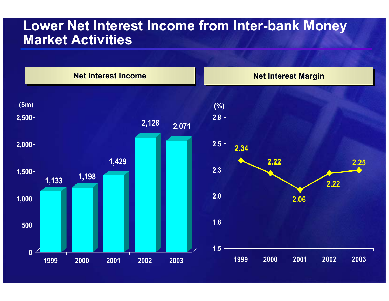#### **Lower Net Interest Income from Inter-bank Money Market Activities**

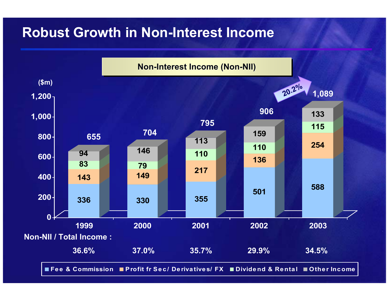# **Robust Growth in Non-Interest Income**

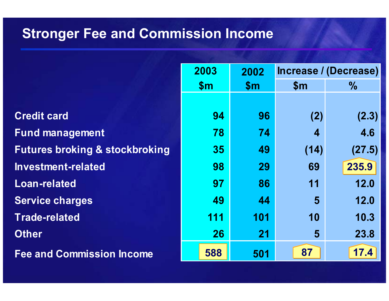# **Stronger Fee and Commission Income**

**Credit card Fund management Futures broking & stockbroking Investment-related 29Loan-related 86Service charges Trade-related Other Fee and Commission Income** 

| 2003 | 2002 | Increase / (Decrease) |               |  |
|------|------|-----------------------|---------------|--|
| \$m  | \$m  | \$m                   | $\frac{0}{0}$ |  |
|      |      |                       |               |  |
| 94   | 96   | (2)                   | (2.3)         |  |
| 78   | 74   | 4                     | 4.6           |  |
| 35   | 49   | (14)                  | (27.5)        |  |
| 98   | 29   | 69                    | 235.9         |  |
| 97   | 86   | 11                    | 12.0          |  |
| 49   | 44   | 5                     | 12.0          |  |
| 111  | 101  | 10                    | 10.3          |  |
| 26   | 21   | 5                     | 23.8          |  |
| 588  | 501  | 87                    | 17.4          |  |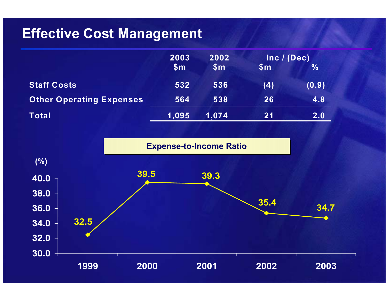# **Effective Cost Management**

|                                 | 2003           | 2002           | Inc / (Dec)    |               |
|---------------------------------|----------------|----------------|----------------|---------------|
|                                 | $\mathsf{S}$ m | $\mathsf{S}$ m | $\mathsf{S}$ m | $\frac{0}{0}$ |
| <b>Staff Costs</b>              | 532            | 536            | (4)            | (0.9)         |
| <b>Other Operating Expenses</b> | 564            | 538            | 26             | 4.8           |
| <b>Total</b>                    | 1,095          | 1,074          | 21             | 2.0           |

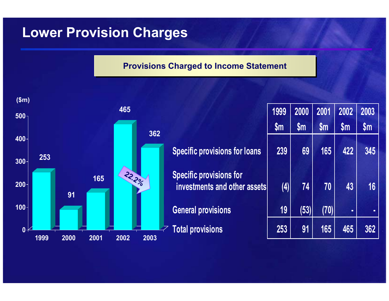## **Lower Provision Charges**

#### **Provisions Charged to Income Statement**

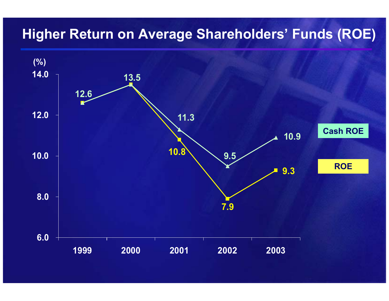# **Higher Return on Average Shareholders' Funds (ROE)**

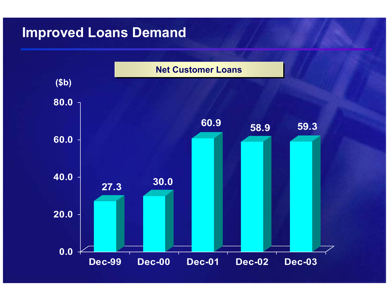# **Improved Loans Demand**

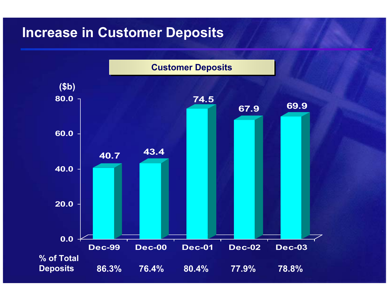# **Increase in Customer Deposits**

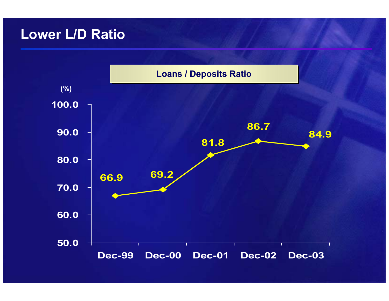#### **Lower L/D Ratio**

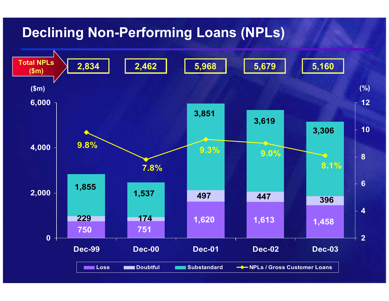# **Declining Non-Performing Loans (NPLs)**

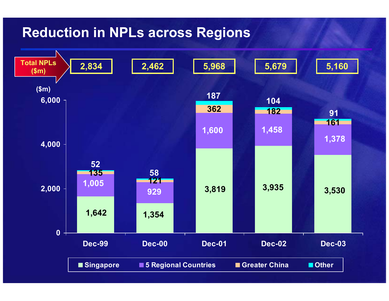## **Reduction in NPLs across Regions**

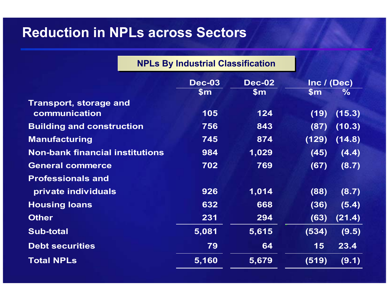#### **Reduction in NPLs across Sectors**

|                                        | <b>NPLs By Industrial Classification</b> |                        |                              |        |
|----------------------------------------|------------------------------------------|------------------------|------------------------------|--------|
|                                        | <b>Dec-03</b><br>\$m\$                   | <b>Dec-02</b><br>\$m\$ | Inc / (Dec)<br>$\mathsf{Sm}$ | $\%$   |
| <b>Transport, storage and</b>          |                                          |                        |                              |        |
| communication                          | 105                                      | 124                    | (19)                         | (15.3) |
| <b>Building and construction</b>       | 756                                      | 843                    | (87)                         | (10.3) |
| <b>Manufacturing</b>                   | 745                                      | 874                    | (129)                        | (14.8) |
| <b>Non-bank financial institutions</b> | 984                                      | 1,029                  | (45)                         | (4.4)  |
| <b>General commerce</b>                | 702                                      | 769                    | (67)                         | (8.7)  |
| <b>Professionals and</b>               |                                          |                        |                              |        |
| private individuals                    | 926                                      | 1,014                  | (88)                         | (8.7)  |
| <b>Housing loans</b>                   | 632                                      | 668                    | (36)                         | (5.4)  |
| <b>Other</b>                           | 231                                      | 294                    | (63)                         | (21.4) |
| <b>Sub-total</b>                       | 5,081                                    | 5,615                  | (534)                        | (9.5)  |
| <b>Debt securities</b>                 | 79                                       | 64                     | 15                           | 23.4   |
| <b>Total NPLs</b>                      | 5,160                                    | 5,679                  | (519)                        | (9.1)  |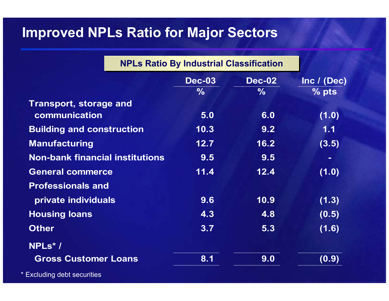# **Improved NPLs Ratio for Major Sectors**

| <b>NPLs Ratio By Industrial Classification</b> |               |             |
|------------------------------------------------|---------------|-------------|
| <b>Dec-03</b>                                  | <b>Dec-02</b> | Inc / (Dec) |
| $\frac{9}{6}$                                  | $\frac{9}{6}$ | $\%$ pts    |
|                                                |               |             |
| 5.0                                            | 6.0           | (1.0)       |
| 10.3                                           | 9.2           | 1.1         |
| 12.7                                           | 16.2          | (3.5)       |
| 9.5                                            | 9.5           |             |
| 11.4                                           | 12.4          | (1.0)       |
|                                                |               |             |
| 9.6                                            | 10.9          | (1.3)       |
| 4.3                                            | 4.8           | (0.5)       |
| 3.7                                            | 5.3           | (1.6)       |
|                                                |               |             |
| 8.1                                            | 9.0           | (0.9)       |
|                                                |               |             |

\* Excluding debt securities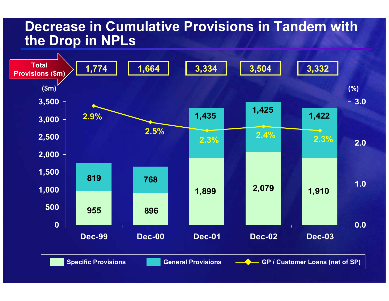#### **Decrease in Cumulative Provisions in Tandem with the Drop in NPLs**

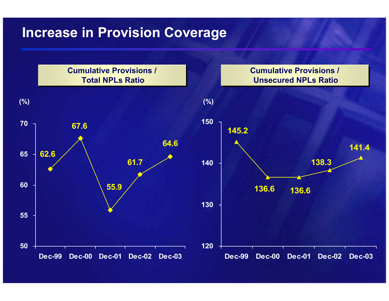### **Increase in Provision Coverage**

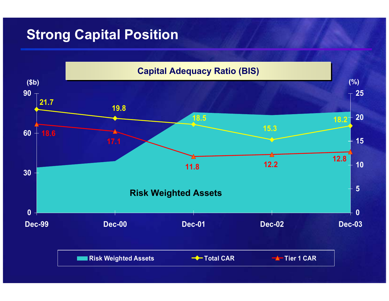# **Strong Capital Position**

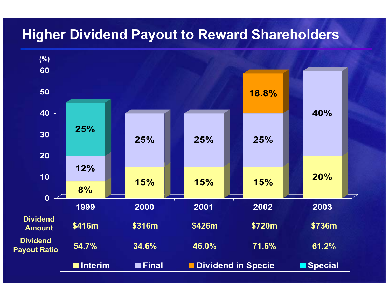# **Higher Dividend Payout to Reward Shareholders**